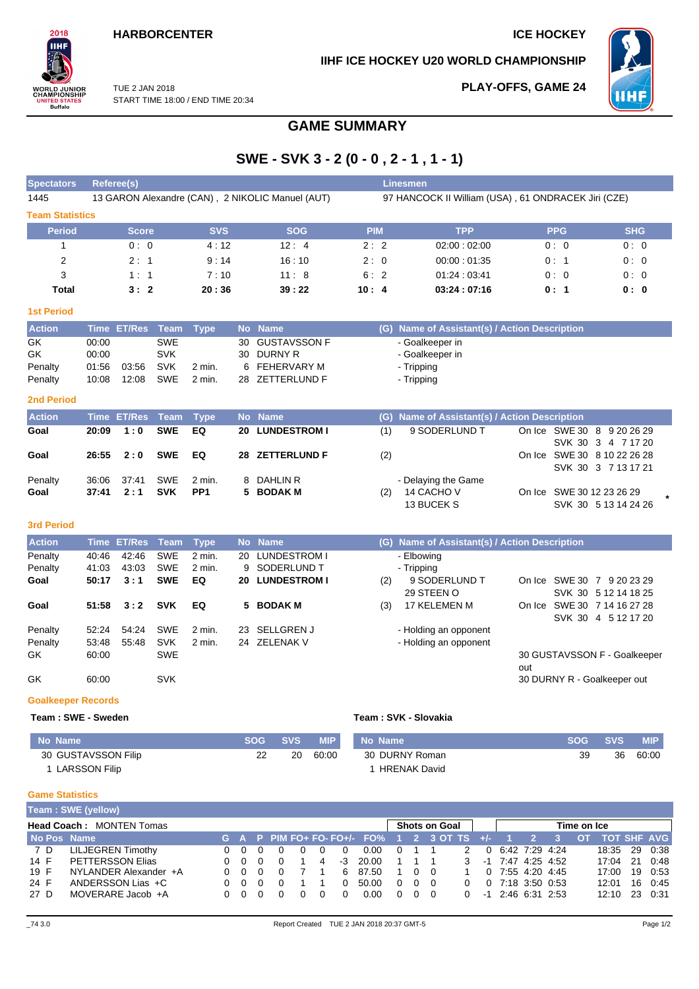## **HARBORCENTER ICE HOCKEY**

**IIHF ICE HOCKEY U20 WORLD CHAMPIONSHIP**

**PLAY-OFFS, GAME 24**



TUE 2 JAN 2018 START TIME 18:00 / END TIME 20:34

# **GAME SUMMARY**

# **SWE - SVK 3 - 2 (0 - 0 , 2 - 1 , 1 - 1)**

| <b>Spectators</b>      | Referee(s)                                       |            |            |            | <b>Linesmen</b>                                     |            |            |  |  |  |  |  |
|------------------------|--------------------------------------------------|------------|------------|------------|-----------------------------------------------------|------------|------------|--|--|--|--|--|
| 1445                   | 13 GARON Alexandre (CAN), 2 NIKOLIC Manuel (AUT) |            |            |            | 97 HANCOCK II William (USA), 61 ONDRACEK Jiri (CZE) |            |            |  |  |  |  |  |
| <b>Team Statistics</b> |                                                  |            |            |            |                                                     |            |            |  |  |  |  |  |
| <b>Period</b>          | <b>Score</b>                                     | <b>SVS</b> | <b>SOG</b> | <b>PIM</b> | <b>TPP</b>                                          | <b>PPG</b> | <b>SHG</b> |  |  |  |  |  |
|                        | 0:0                                              | 4:12       | 12:4       | 2:2        | 02:00:02:00                                         | 0:0        | 0:0        |  |  |  |  |  |
| 2                      | 2:1                                              | 9:14       | 16:10      | 2:0        | 00:00:01:35                                         | 0:1        | 0:0        |  |  |  |  |  |
| 3                      | 1:1                                              | 7:10       | 11:8       | 6:2        | 01:24:03:41                                         | 0:0        | 0:0        |  |  |  |  |  |
| <b>Total</b>           | 3:2                                              | 20:36      | 39:22      | 10:4       | 03:24:07:16                                         | 0:1        | 0: 0       |  |  |  |  |  |
| <b>1st Period</b>      |                                                  |            |            |            |                                                     |            |            |  |  |  |  |  |

| <b>Action</b> |       | Time ET/Res Team Type |            |        | No Name         | (G) Name of Assistant(s) / Action Description |
|---------------|-------|-----------------------|------------|--------|-----------------|-----------------------------------------------|
| GK            | 00:00 |                       | <b>SWE</b> |        | 30 GUSTAVSSON F | - Goalkeeper in                               |
| GK            | 00:00 |                       | <b>SVK</b> |        | 30 DURNY R      | - Goalkeeper in                               |
| Penalty       | 01:56 | 03:56                 | SVK        | 2 min. | 6 FEHERVARY M   | - Tripping                                    |
| Penalty       | 10:08 | 12:08                 | SWE        | 2 min. | 28 ZETTERLUND F | - Tripping                                    |

#### **2nd Period**

 $2018$ IІHI

**ORLD JUNIOR**<br>HAMPIONSHIP

**INITED STATES**<br>Buffalo

| <b>Action</b> |       | Time ET/Res Team Type |            |        | No Name         |     | (G) Name of Assistant(s) / Action Description |                             |  |
|---------------|-------|-----------------------|------------|--------|-----------------|-----|-----------------------------------------------|-----------------------------|--|
| Goal          | 20:09 | $-1:0$                | SWE        | EQ     | 20 LUNDESTROM I | (1) | 9 SODERLUND T                                 | On Ice SWE 30 8 9 20 26 29  |  |
|               |       |                       |            |        |                 |     |                                               | SVK 30 3 4 7 17 20          |  |
| Goal          |       | $26:55 \quad 2:0$     | SWE EQ     |        | 28 ZETTERLUND F | (2) |                                               | On Ice SWE 30 8 10 22 26 28 |  |
|               |       |                       |            |        |                 |     |                                               | SVK 30 3 7 13 17 21         |  |
| Penalty       | 36:06 | 37:41                 | SWE        | 2 min. | 8 DAHLIN R      |     | - Delaying the Game                           |                             |  |
| Goal          | 37:41 | 2:1                   | <b>SVK</b> | PP1    | 5 BODAK M       | (2) | 14 CACHO V                                    | On Ice SWE 30 12 23 26 29   |  |
|               |       |                       |            |        |                 |     | 13 BUCEK S                                    | SVK 30 5 13 14 24 26        |  |

#### **3rd Period**

| <b>Action</b>             |       | Time ET/Res Team |            | Type              |     | No Name             | (G) | Name of Assistant(s) / Action Description |        |                              |
|---------------------------|-------|------------------|------------|-------------------|-----|---------------------|-----|-------------------------------------------|--------|------------------------------|
| Penalty                   | 40:46 | 42:46            | <b>SWE</b> | 2 min.            | 20  | LUNDESTROM I        |     | - Elbowing                                |        |                              |
| Penalty                   | 41:03 | 43.03            | <b>SWE</b> | $2 \text{ min}$ . |     | 9 SODERLUND T       |     | - Tripping                                |        |                              |
| Goal                      | 50:17 | 3:1              | <b>SWE</b> | EQ                | 20  | <b>LUNDESTROM I</b> | (2) | 9 SODERLUND T                             | On Ice | SWE 30 7<br>9 20 23 29       |
|                           |       |                  |            |                   |     |                     |     | 29 STEEN O                                |        | SVK 30 5 12 14 18 25         |
| Goal                      | 51:58 | 3:2              | <b>SVK</b> | EQ                |     | 5 BODAK M           | (3) | 17 KELEMEN M                              | On Ice | SWE 30 7 14 16 27 28         |
|                           |       |                  |            |                   |     |                     |     |                                           |        | SVK 30 4 5 12 17 20          |
| Penalty                   | 52:24 | 54:24            | <b>SWE</b> | $2 \text{ min}$ . | 23. | <b>SELLGREN J</b>   |     | - Holding an opponent                     |        |                              |
| Penalty                   | 53:48 | 55.48            | <b>SVK</b> | $2 \text{ min}$ . | 24  | ZELENAK V           |     | - Holding an opponent                     |        |                              |
| GK                        | 60:00 |                  | <b>SWE</b> |                   |     |                     |     |                                           |        | 30 GUSTAVSSON F - Goalkeeper |
|                           |       |                  |            |                   |     |                     |     |                                           | out    |                              |
| GK                        | 60:00 |                  | <b>SVK</b> |                   |     |                     |     |                                           |        | 30 DURNY R - Goalkeeper out  |
| <b>Goalkeeper Records</b> |       |                  |            |                   |     |                     |     |                                           |        |                              |

|  |  |  |  | Team: SWE - Sweden |  |
|--|--|--|--|--------------------|--|
|--|--|--|--|--------------------|--|

| No Name             | <b>SOG</b> | <b>SVS</b> | <b>MIP</b> | No Name             | SOG SVS |    | <b>MIP</b> |
|---------------------|------------|------------|------------|---------------------|---------|----|------------|
| 30 GUSTAVSSON Filip |            | 20         | 60:00      | 30 DURNY Roman      | 39      | 36 | 60:00      |
| LARSSON Filip       |            |            |            | <b>HRENAK David</b> |         |    |            |

 $Team : SVK - Slovakia$ 

### **Game Statistics**

|             | Team: SWE (yellow)              |  |            |  |  |   |  |          |                                         |          |                      |  |               |          |  |                     |                   |           |       |  |             |
|-------------|---------------------------------|--|------------|--|--|---|--|----------|-----------------------------------------|----------|----------------------|--|---------------|----------|--|---------------------|-------------------|-----------|-------|--|-------------|
|             | <b>Head Coach: MONTEN Tomas</b> |  |            |  |  |   |  |          |                                         |          | <b>Shots on Goal</b> |  |               |          |  | Time on Ice         |                   |           |       |  |             |
| No Pos Name |                                 |  |            |  |  |   |  |          | G A P PIM FO+ FO- FO+/- FO% 1 2 3 OT TS |          |                      |  |               |          |  |                     |                   | <b>OT</b> |       |  | TOT SHF AVG |
| 7 D         | LILJEGREN Timothy               |  | 0 O        |  |  | 0 |  | $\Omega$ | 0.00                                    | $\Omega$ |                      |  | $\mathcal{P}$ | $\Omega$ |  | 6.42 7:29 4:24      |                   |           | 18:35 |  | 29 0:38     |
| 14 F        | PETTERSSON Elias                |  | 0 O        |  |  |   |  | -3       | 20.00                                   |          |                      |  | $\mathbf{3}$  |          |  |                     | -1 7:47 4:25 4:52 |           | 17:04 |  | 21 0:48     |
| 19 F        | NYLANDER Alexander +A           |  | <u>n n</u> |  |  |   |  |          | 6 87.50                                 |          | $0\quad 0$           |  |               |          |  | $0$ 7:55 4:20 4:45  |                   |           | 17:00 |  | 19 0:53     |
| 24 F        | ANDERSSON Lias +C               |  | 0 O        |  |  |   |  | $\Omega$ | 50.00                                   | $\Omega$ | $0\quad 0$           |  |               |          |  | 0 7:18 3:50 0:53    |                   |           | 12:01 |  | 16 0:45     |
| 27 D        | MOVERARE Jacob +A               |  |            |  |  |   |  |          | 0.00                                    |          | 0 O                  |  |               |          |  | $-1$ 2:46 6:31 2:53 |                   |           | 12:10 |  | 23 0:31     |